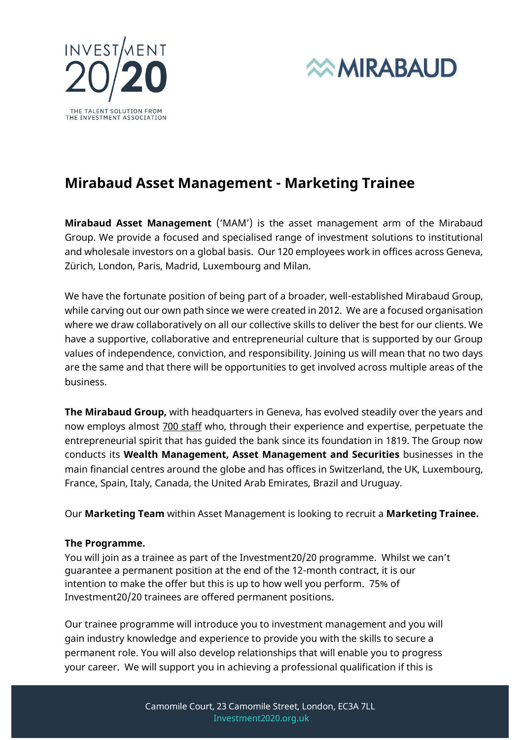



# **Mirabaud Asset Management - Marketing Trainee**

**Mirabaud Asset Management** ('MAM') is the asset management arm of the Mirabaud Group. We provide a focused and specialised range of investment solutions to institutional and wholesale investors on a global basis. Our 120 employees work in offices across Geneva, Zürich, London, Paris, Madrid, Luxembourg and Milan.

We have the fortunate position of being part of a broader, well-established Mirabaud Group, while carving out our own path since we were created in 2012. We are a focused organisation where we draw collaboratively on all our collective skills to deliver the best for our clients. We have a supportive, collaborative and entrepreneurial culture that is supported by our Group values of independence, conviction, and responsibility. Joining us will mean that no two days are the same and that there will be opportunities to get involved across multiple areas of the business.

**The Mirabaud Group,** with headquarters in Geneva, has evolved steadily over the years and now employs almost 700 staff who, through their experience and expertise, perpetuate the entrepreneurial spirit that has guided the bank since its foundation in 1819. The Group now conducts its **Wealth Management, Asset Management and Securities** businesses in the main financial centres around the globe and has offices in Switzerland, the UK, Luxembourg, France, Spain, Italy, Canada, the United Arab Emirates, Brazil and Uruguay.

Our **Marketing Team** within Asset Management is looking to recruit a **Marketing Trainee.**

### **The Programme.**

You will join as a trainee as part of the [Investment20/20 programme](https://www.investment2020.org.uk/). Whilst we can't guarantee a permanent position at the end of the 12-month contract, it is our intention to make the offer but this is up to how well you perform. 75% of Investment20/20 trainees are offered permanent positions.

Our trainee programme will introduce you to investment management and you will gain industry knowledge and experience to provide you with the skills to secure a permanent role. You will also develop relationships that will enable you to progress your career. We will support you in achieving a professional qualification if this is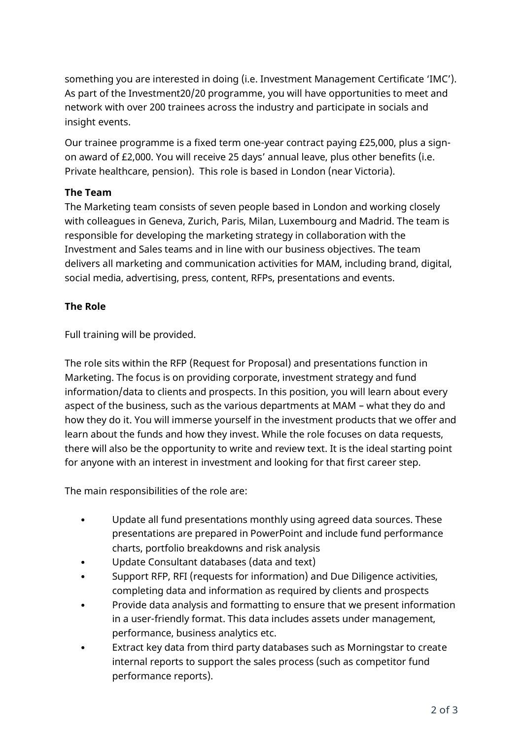something you are interested in doing (i.e. Investment Management Certificate 'IMC'). As part of the Investment20/20 programme, you will have opportunities to meet and network with over 200 trainees across the industry and participate in socials and insight events.

Our trainee programme is a fixed term one-year contract paying £25,000, plus a signon award of £2,000. You will receive 25 days' annual leave, plus other benefits (i.e. Private healthcare, pension). This role is based in London (near Victoria).

# **The Team**

The Marketing team consists of seven people based in London and working closely with colleagues in Geneva, Zurich, Paris, Milan, Luxembourg and Madrid. The team is responsible for developing the marketing strategy in collaboration with the Investment and Sales teams and in line with our business objectives. The team delivers all marketing and communication activities for MAM, including brand, digital, social media, advertising, press, content, RFPs, presentations and events.

# **The Role**

Full training will be provided.

The role sits within the RFP (Request for Proposal) and presentations function in Marketing. The focus is on providing corporate, investment strategy and fund information/data to clients and prospects. In this position, you will learn about every aspect of the business, such as the various departments at MAM – what they do and how they do it. You will immerse yourself in the investment products that we offer and learn about the funds and how they invest. While the role focuses on data requests, there will also be the opportunity to write and review text. It is the ideal starting point for anyone with an interest in investment and looking for that first career step.

The main responsibilities of the role are:

- Update all fund presentations monthly using agreed data sources. These presentations are prepared in PowerPoint and include fund performance charts, portfolio breakdowns and risk analysis
- Update Consultant databases (data and text)
- Support RFP, RFI (requests for information) and Due Diligence activities, completing data and information as required by clients and prospects
- Provide data analysis and formatting to ensure that we present information in a user-friendly format. This data includes assets under management, performance, business analytics etc.
- Extract key data from third party databases such as Morningstar to create internal reports to support the sales process (such as competitor fund performance reports).